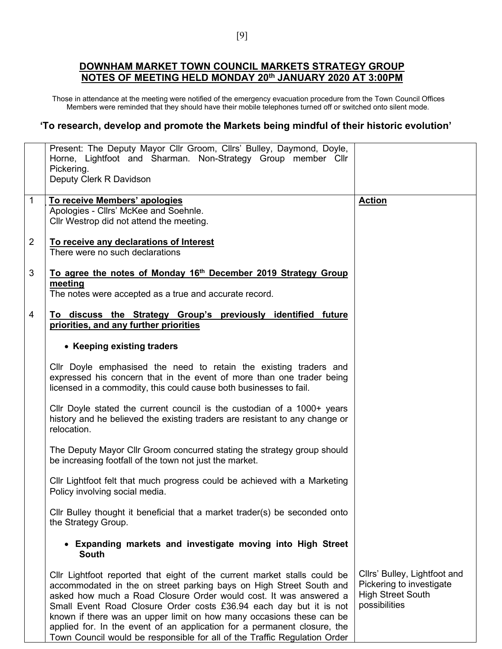## **DOWNHAM MARKET TOWN COUNCIL MARKETS STRATEGY GROUP NOTES OF MEETING HELD MONDAY 20th JANUARY 2020 AT 3:00PM**

Those in attendance at the meeting were notified of the emergency evacuation procedure from the Town Council Offices Members were reminded that they should have their mobile telephones turned off or switched onto silent mode.

## **'To research, develop and promote the Markets being mindful of their historic evolution'**

|                | Present: The Deputy Mayor Cllr Groom, Cllrs' Bulley, Daymond, Doyle,<br>Horne, Lightfoot and Sharman. Non-Strategy Group member Cllr<br>Pickering.<br>Deputy Clerk R Davidson                                    |                              |
|----------------|------------------------------------------------------------------------------------------------------------------------------------------------------------------------------------------------------------------|------------------------------|
| $\overline{1}$ | To receive Members' apologies                                                                                                                                                                                    | <b>Action</b>                |
|                |                                                                                                                                                                                                                  |                              |
|                | Apologies - Cllrs' McKee and Soehnle.                                                                                                                                                                            |                              |
|                | Cllr Westrop did not attend the meeting.                                                                                                                                                                         |                              |
|                |                                                                                                                                                                                                                  |                              |
|                |                                                                                                                                                                                                                  |                              |
| $\overline{2}$ | To receive any declarations of Interest                                                                                                                                                                          |                              |
|                | There were no such declarations                                                                                                                                                                                  |                              |
| 3              | To agree the notes of Monday 16 <sup>th</sup> December 2019 Strategy Group<br>meeting<br>The notes were accepted as a true and accurate record.                                                                  |                              |
| 4              | To discuss the Strategy Group's previously identified future<br>priorities, and any further priorities                                                                                                           |                              |
|                |                                                                                                                                                                                                                  |                              |
|                | • Keeping existing traders                                                                                                                                                                                       |                              |
|                |                                                                                                                                                                                                                  |                              |
|                | Cllr Doyle emphasised the need to retain the existing traders and<br>expressed his concern that in the event of more than one trader being<br>licensed in a commodity, this could cause both businesses to fail. |                              |
|                |                                                                                                                                                                                                                  |                              |
|                | Cllr Doyle stated the current council is the custodian of a 1000+ years<br>history and he believed the existing traders are resistant to any change or<br>relocation.                                            |                              |
|                |                                                                                                                                                                                                                  |                              |
|                | The Deputy Mayor Cllr Groom concurred stating the strategy group should                                                                                                                                          |                              |
|                | be increasing footfall of the town not just the market.                                                                                                                                                          |                              |
|                |                                                                                                                                                                                                                  |                              |
|                | Cllr Lightfoot felt that much progress could be achieved with a Marketing<br>Policy involving social media.                                                                                                      |                              |
|                |                                                                                                                                                                                                                  |                              |
|                | Cllr Bulley thought it beneficial that a market trader(s) be seconded onto<br>the Strategy Group.                                                                                                                |                              |
|                | • Expanding markets and investigate moving into High Street<br><b>South</b>                                                                                                                                      |                              |
|                |                                                                                                                                                                                                                  |                              |
|                | Cllr Lightfoot reported that eight of the current market stalls could be                                                                                                                                         | Cllrs' Bulley, Lightfoot and |
|                | accommodated in the on street parking bays on High Street South and                                                                                                                                              | Pickering to investigate     |
|                | asked how much a Road Closure Order would cost. It was answered a                                                                                                                                                | <b>High Street South</b>     |
|                | Small Event Road Closure Order costs £36.94 each day but it is not                                                                                                                                               | possibilities                |
|                |                                                                                                                                                                                                                  |                              |
|                | known if there was an upper limit on how many occasions these can be                                                                                                                                             |                              |
|                | applied for. In the event of an application for a permanent closure, the                                                                                                                                         |                              |
|                | Town Council would be responsible for all of the Traffic Regulation Order                                                                                                                                        |                              |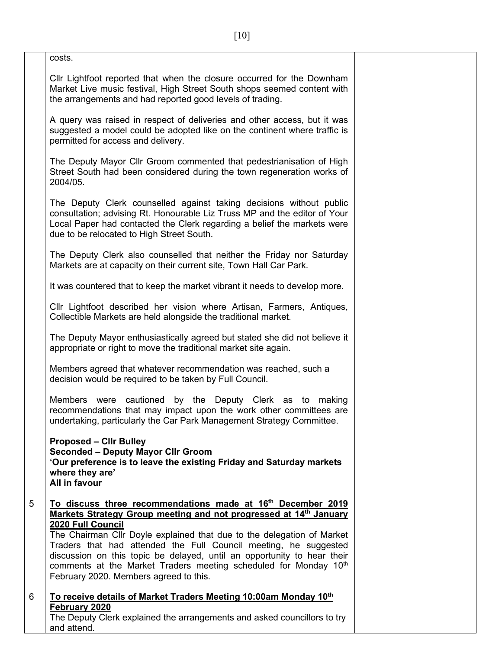| costs.                                                                                                                                                                                                                                                                                                                                                                                                                                                                                                               |  |
|----------------------------------------------------------------------------------------------------------------------------------------------------------------------------------------------------------------------------------------------------------------------------------------------------------------------------------------------------------------------------------------------------------------------------------------------------------------------------------------------------------------------|--|
| Cllr Lightfoot reported that when the closure occurred for the Downham<br>Market Live music festival, High Street South shops seemed content with<br>the arrangements and had reported good levels of trading.                                                                                                                                                                                                                                                                                                       |  |
| A query was raised in respect of deliveries and other access, but it was<br>suggested a model could be adopted like on the continent where traffic is<br>permitted for access and delivery.                                                                                                                                                                                                                                                                                                                          |  |
| The Deputy Mayor Cllr Groom commented that pedestrianisation of High<br>Street South had been considered during the town regeneration works of<br>2004/05.                                                                                                                                                                                                                                                                                                                                                           |  |
| The Deputy Clerk counselled against taking decisions without public<br>consultation; advising Rt. Honourable Liz Truss MP and the editor of Your<br>Local Paper had contacted the Clerk regarding a belief the markets were<br>due to be relocated to High Street South.                                                                                                                                                                                                                                             |  |
| The Deputy Clerk also counselled that neither the Friday nor Saturday<br>Markets are at capacity on their current site, Town Hall Car Park.                                                                                                                                                                                                                                                                                                                                                                          |  |
| It was countered that to keep the market vibrant it needs to develop more.                                                                                                                                                                                                                                                                                                                                                                                                                                           |  |
| Cllr Lightfoot described her vision where Artisan, Farmers, Antiques,<br>Collectible Markets are held alongside the traditional market.                                                                                                                                                                                                                                                                                                                                                                              |  |
| The Deputy Mayor enthusiastically agreed but stated she did not believe it<br>appropriate or right to move the traditional market site again.                                                                                                                                                                                                                                                                                                                                                                        |  |
| Members agreed that whatever recommendation was reached, such a<br>decision would be required to be taken by Full Council.                                                                                                                                                                                                                                                                                                                                                                                           |  |
| Members were cautioned by the Deputy Clerk as to making<br>recommendations that may impact upon the work other committees are<br>undertaking, particularly the Car Park Management Strategy Committee.                                                                                                                                                                                                                                                                                                               |  |
| <b>Proposed - Clir Bulley</b><br><b>Seconded - Deputy Mayor Cllr Groom</b><br>'Our preference is to leave the existing Friday and Saturday markets<br>where they are'<br>All in favour                                                                                                                                                                                                                                                                                                                               |  |
| To discuss three recommendations made at 16 <sup>th</sup> December 2019<br>Markets Strategy Group meeting and not progressed at 14 <sup>th</sup> January<br>2020 Full Council<br>The Chairman Cllr Doyle explained that due to the delegation of Market<br>Traders that had attended the Full Council meeting, he suggested<br>discussion on this topic be delayed, until an opportunity to hear their<br>comments at the Market Traders meeting scheduled for Monday 10th<br>February 2020. Members agreed to this. |  |
| To receive details of Market Traders Meeting 10:00am Monday 10th                                                                                                                                                                                                                                                                                                                                                                                                                                                     |  |
| February 2020<br>The Deputy Clerk explained the arrangements and asked councillors to try<br>and attend.                                                                                                                                                                                                                                                                                                                                                                                                             |  |

5

6